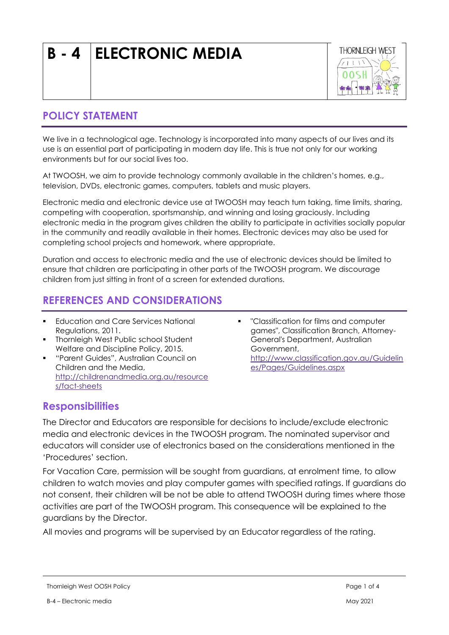# **B - 4 ELECTRONIC MEDIA**



## **POLICY STATEMENT**

We live in a technological age. Technology is incorporated into many aspects of our lives and its use is an essential part of participating in modern day life. This is true not only for our working environments but for our social lives too.

At TWOOSH, we aim to provide technology commonly available in the children's homes, e.g., television, DVDs, electronic games, computers, tablets and music players.

Electronic media and electronic device use at TWOOSH may teach turn taking, time limits, sharing, competing with cooperation, sportsmanship, and winning and losing graciously. Including electronic media in the program gives children the ability to participate in activities socially popular in the community and readily available in their homes. Electronic devices may also be used for completing school projects and homework, where appropriate.

Duration and access to electronic media and the use of electronic devices should be limited to ensure that children are participating in other parts of the TWOOSH program. We discourage children from just sitting in front of a screen for extended durations.

# **REFERENCES AND CONSIDERATIONS**

- **Education and Care Services National** Regulations, 2011.
- **•** Thornleigh West Public school Student Welfare and Discipline Policy, 2015.
- "Parent Guides", Australian Council on Children and the Media, [http://childrenandmedia.org.au/resource](http://childrenandmedia.org.au/resources/fact-sheets) [s/fact-sheets](http://childrenandmedia.org.au/resources/fact-sheets)
- "Classification for films and computer games", Classification Branch, Attorney-General's Department, Australian Government, [http://www.classification.gov.au/Guidelin](http://www.classification.gov.au/Guidelines/Pages/Guidelines.aspx) [es/Pages/Guidelines.aspx](http://www.classification.gov.au/Guidelines/Pages/Guidelines.aspx)

### **Responsibilities**

The Director and Educators are responsible for decisions to include/exclude electronic media and electronic devices in the TWOOSH program. The nominated supervisor and educators will consider use of electronics based on the considerations mentioned in the 'Procedures' section.

For Vacation Care, permission will be sought from guardians, at enrolment time, to allow children to watch movies and play computer games with specified ratings. If guardians do not consent, their children will be not be able to attend TWOOSH during times where those activities are part of the TWOOSH program. This consequence will be explained to the guardians by the Director.

All movies and programs will be supervised by an Educator regardless of the rating.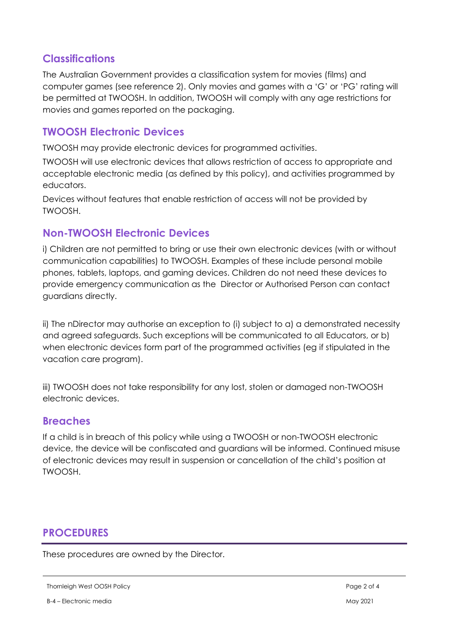#### **Classifications**

The Australian Government provides a classification system for movies (films) and computer games (see reference 2). Only movies and games with a 'G' or 'PG' rating will be permitted at TWOOSH. In addition, TWOOSH will comply with any age restrictions for movies and games reported on the packaging.

#### **TWOOSH Electronic Devices**

TWOOSH may provide electronic devices for programmed activities.

TWOOSH will use electronic devices that allows restriction of access to appropriate and acceptable electronic media (as defined by this policy), and activities programmed by educators.

Devices without features that enable restriction of access will not be provided by TWOOSH.

#### **Non-TWOOSH Electronic Devices**

i) Children are not permitted to bring or use their own electronic devices (with or without communication capabilities) to TWOOSH. Examples of these include personal mobile phones, tablets, laptops, and gaming devices. Children do not need these devices to provide emergency communication as the Director or Authorised Person can contact guardians directly.

ii) The nDirector may authorise an exception to (i) subject to a) a demonstrated necessity and agreed safeguards. Such exceptions will be communicated to all Educators, or b) when electronic devices form part of the programmed activities (eg if stipulated in the vacation care program).

iii) TWOOSH does not take responsibility for any lost, stolen or damaged non-TWOOSH electronic devices.

#### **Breaches**

If a child is in breach of this policy while using a TWOOSH or non-TWOOSH electronic device, the device will be confiscated and guardians will be informed. Continued misuse of electronic devices may result in suspension or cancellation of the child's position at TWOOSH.

### **PROCEDURES**

These procedures are owned by the Director.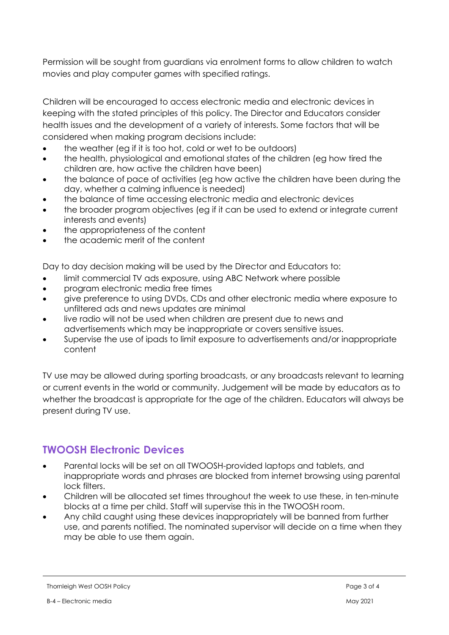Permission will be sought from guardians via enrolment forms to allow children to watch movies and play computer games with specified ratings.

Children will be encouraged to access electronic media and electronic devices in keeping with the stated principles of this policy. The Director and Educators consider health issues and the development of a variety of interests. Some factors that will be considered when making program decisions include:

- the weather (eg if it is too hot, cold or wet to be outdoors)
- the health, physiological and emotional states of the children (eg how tired the children are, how active the children have been)
- the balance of pace of activities (eg how active the children have been during the day, whether a calming influence is needed)
- the balance of time accessing electronic media and electronic devices
- the broader program objectives (eg if it can be used to extend or integrate current interests and events)
- the appropriateness of the content
- the academic merit of the content

Day to day decision making will be used by the Director and Educators to:

- limit commercial TV ads exposure, using ABC Network where possible
- program electronic media free times
- give preference to using DVDs, CDs and other electronic media where exposure to unfiltered ads and news updates are minimal
- live radio will not be used when children are present due to news and advertisements which may be inappropriate or covers sensitive issues.
- Supervise the use of ipads to limit exposure to advertisements and/or inappropriate content

TV use may be allowed during sporting broadcasts, or any broadcasts relevant to learning or current events in the world or community. Judgement will be made by educators as to whether the broadcast is appropriate for the age of the children. Educators will always be present during TV use.

### **TWOOSH Electronic Devices**

- Parental locks will be set on all TWOOSH-provided laptops and tablets, and inappropriate words and phrases are blocked from internet browsing using parental lock filters.
- Children will be allocated set times throughout the week to use these, in ten-minute blocks at a time per child. Staff will supervise this in the TWOOSH room.
- Any child caught using these devices inappropriately will be banned from further use, and parents notified. The nominated supervisor will decide on a time when they may be able to use them again.